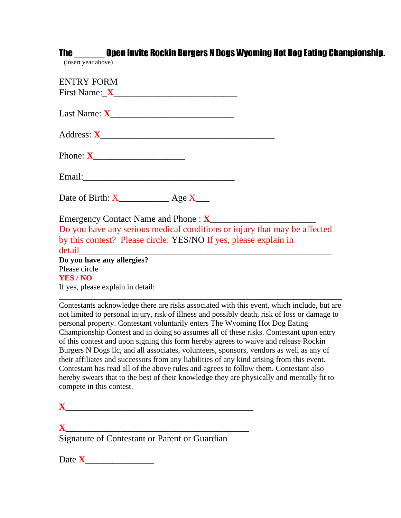|                                | The _______ Open Invite Rockin Burgers N Dogs Wyoming Hot Dog Eating Championship.                                                                                                                                                                                         |
|--------------------------------|----------------------------------------------------------------------------------------------------------------------------------------------------------------------------------------------------------------------------------------------------------------------------|
| (insert year above)            |                                                                                                                                                                                                                                                                            |
| ENTRY FORM                     |                                                                                                                                                                                                                                                                            |
|                                |                                                                                                                                                                                                                                                                            |
|                                |                                                                                                                                                                                                                                                                            |
|                                |                                                                                                                                                                                                                                                                            |
|                                |                                                                                                                                                                                                                                                                            |
|                                |                                                                                                                                                                                                                                                                            |
|                                | Date of Birth: $X$ $\qquad \qquad$ Age $X$                                                                                                                                                                                                                                 |
|                                |                                                                                                                                                                                                                                                                            |
|                                | Do you have any serious medical conditions or injury that may be affected                                                                                                                                                                                                  |
|                                | by this contest? Please circle: YES/NO If yes, please explain in                                                                                                                                                                                                           |
| detail                         |                                                                                                                                                                                                                                                                            |
|                                | Do you have any allergies?                                                                                                                                                                                                                                                 |
| Please circle<br><b>YES/NO</b> |                                                                                                                                                                                                                                                                            |
|                                | If yes, please explain in detail:                                                                                                                                                                                                                                          |
|                                | Contestants acknowledge there are risks associated with this event, which include, but are<br>not limited to personal injury, risk of illness and possibly death, risk of loss or damage to<br>personal property. Contestant voluntarily enters The Wyoming Hot Dog Eating |

personal property. Contestant voluntarily enters The Wyoming Hot Dog Eating Championship Contest and in doing so assumes all of these risks. Contestant upon entry of this contest and upon signing this form hereby agrees to waive and release Rockin Burgers N Dogs llc, and all associates, volunteers, sponsors, vendors as well as any of their affiliates and successors from any liabilities of any kind arising from this event. Contestant has read all of the above rules and agrees to follow them. Contestant also hereby swears that to the best of their knowledge they are physically and mentally fit to compete in this contest.

**X**\_\_\_\_\_\_\_\_\_\_\_\_\_\_\_\_\_\_\_\_\_\_\_\_\_\_\_\_\_\_\_\_\_\_\_\_\_\_\_\_ Signature of Contestant or Parent or Guardian

Date **X**\_\_\_\_\_\_\_\_\_\_\_\_\_\_\_